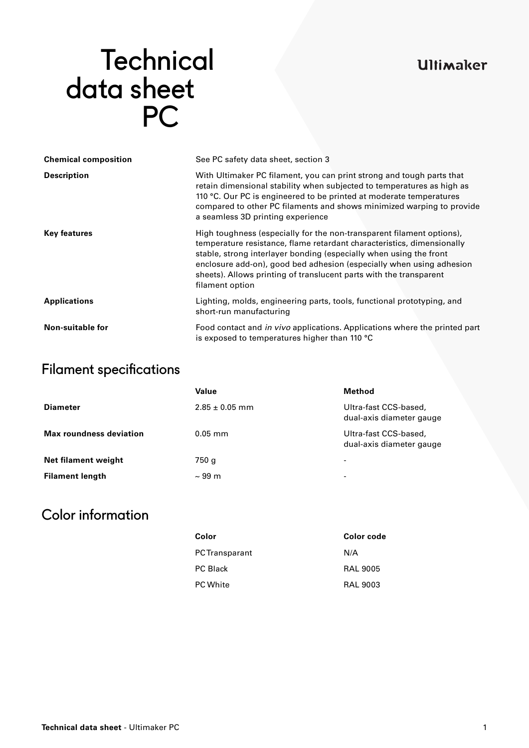## **Ultimaker**

# **Technical**  data sheet PC

| <b>Chemical composition</b> | See PC safety data sheet, section 3                                                                                                                                                                                                                                                                                                                                                    |  |  |
|-----------------------------|----------------------------------------------------------------------------------------------------------------------------------------------------------------------------------------------------------------------------------------------------------------------------------------------------------------------------------------------------------------------------------------|--|--|
| <b>Description</b>          | With Ultimaker PC filament, you can print strong and tough parts that<br>retain dimensional stability when subjected to temperatures as high as<br>110 °C. Our PC is engineered to be printed at moderate temperatures<br>compared to other PC filaments and shows minimized warping to provide<br>a seamless 3D printing experience                                                   |  |  |
| <b>Key features</b>         | High toughness (especially for the non-transparent filament options),<br>temperature resistance, flame retardant characteristics, dimensionally<br>stable, strong interlayer bonding (especially when using the front<br>enclosure add-on), good bed adhesion (especially when using adhesion<br>sheets). Allows printing of translucent parts with the transparent<br>filament option |  |  |
| <b>Applications</b>         | Lighting, molds, engineering parts, tools, functional prototyping, and<br>short-run manufacturing                                                                                                                                                                                                                                                                                      |  |  |
| Non-suitable for            | Food contact and in vivo applications. Applications where the printed part<br>is exposed to temperatures higher than 110 °C                                                                                                                                                                                                                                                            |  |  |

## Filament specifications

|                                | Value              | Method                                            |
|--------------------------------|--------------------|---------------------------------------------------|
| <b>Diameter</b>                | $2.85 \pm 0.05$ mm | Ultra-fast CCS-based,<br>dual-axis diameter gauge |
| <b>Max roundness deviation</b> | $0.05$ mm          | Ultra-fast CCS-based,<br>dual-axis diameter gauge |
| Net filament weight            | 750 g              | $\overline{\phantom{0}}$                          |
| <b>Filament length</b>         | $\sim$ 99 m        | -                                                 |

## Color information

| Color                 | Color code      |
|-----------------------|-----------------|
| <b>PC</b> Transparant | N/A             |
| <b>PC Black</b>       | <b>RAL 9005</b> |
| <b>PC White</b>       | <b>RAL 9003</b> |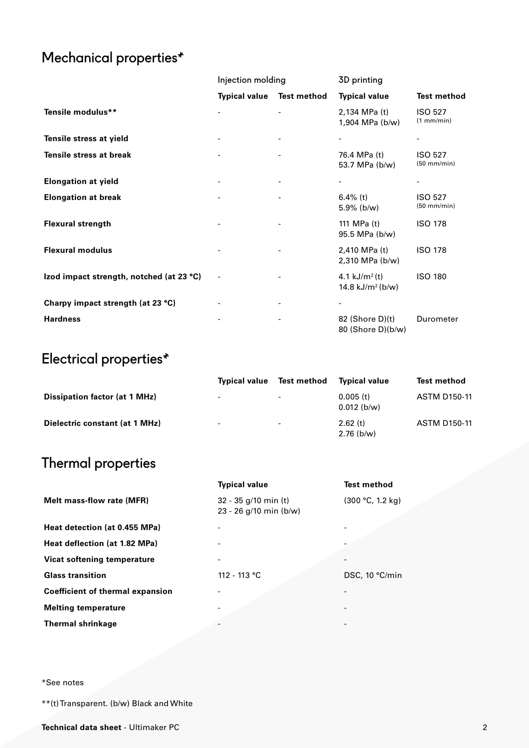# Mechanical properties\*

|                                          | Injection molding    |             | 3D printing                                     |                                 |
|------------------------------------------|----------------------|-------------|-------------------------------------------------|---------------------------------|
|                                          | <b>Typical value</b> | Test method | <b>Typical value</b>                            | <b>Test method</b>              |
| Tensile modulus**                        |                      |             | 2,134 MPa (t)<br>1,904 MPa (b/w)                | <b>ISO 527</b><br>(1 mm/min)    |
| Tensile stress at yield                  |                      |             |                                                 |                                 |
| Tensile stress at break                  |                      |             | 76.4 MPa (t)<br>53.7 MPa (b/w)                  | <b>ISO 527</b><br>$(50$ mm/min) |
| <b>Elongation at yield</b>               |                      |             | $\overline{\phantom{a}}$                        |                                 |
| <b>Elongation at break</b>               |                      |             | 6.4% (t)<br>$5.9\%$ (b/w)                       | <b>ISO 527</b><br>$(50$ mm/min) |
| <b>Flexural strength</b>                 |                      |             | 111 MPa (t)<br>95.5 MPa (b/w)                   | <b>ISO 178</b>                  |
| <b>Flexural modulus</b>                  |                      |             | 2,410 MPa (t)<br>2,310 MPa (b/w)                | <b>ISO 178</b>                  |
| Izod impact strength, notched (at 23 °C) |                      |             | 4.1 $kJ/m^2(t)$<br>14.8 kJ/m <sup>2</sup> (b/w) | <b>ISO 180</b>                  |
| Charpy impact strength (at 23 °C)        |                      |             |                                                 |                                 |
| <b>Hardness</b>                          |                      |             | $82$ (Shore D)(t)<br>80 (Shore D)(b/w)          | Durometer                       |

# Electrical properties\*

|                                | <b>Typical value</b>     | Test method              | Tvpical value                | <b>Test method</b>  |
|--------------------------------|--------------------------|--------------------------|------------------------------|---------------------|
| Dissipation factor (at 1 MHz)  | $\overline{\phantom{a}}$ | $\overline{\phantom{0}}$ | $0.005$ (t)<br>$0.012$ (b/w) | <b>ASTM D150-11</b> |
| Dielectric constant (at 1 MHz) | -                        | $\overline{\phantom{a}}$ | 2.62(t)<br>$2.76$ (b/w)      | <b>ASTM D150-11</b> |

## Thermal properties

|                                         | <b>Typical value</b>                             | <b>Test method</b> |
|-----------------------------------------|--------------------------------------------------|--------------------|
| Melt mass-flow rate (MFR)               | $32 - 35$ g/10 min (t)<br>23 - 26 g/10 min (b/w) | (300 °C, 1.2 kg)   |
| Heat detection (at 0.455 MPa)           |                                                  |                    |
| Heat deflection (at 1.82 MPa)           |                                                  |                    |
| Vicat softening temperature             |                                                  |                    |
| <b>Glass transition</b>                 | 112 - 113 °C                                     | DSC, 10 °C/min     |
| <b>Coefficient of thermal expansion</b> |                                                  |                    |
| <b>Melting temperature</b>              |                                                  |                    |
| <b>Thermal shrinkage</b>                |                                                  |                    |
|                                         |                                                  |                    |

\*See notes

\*\*(t) Transparent. (b/w) Black and White

**Technical data sheet** - Ultimaker PC 2